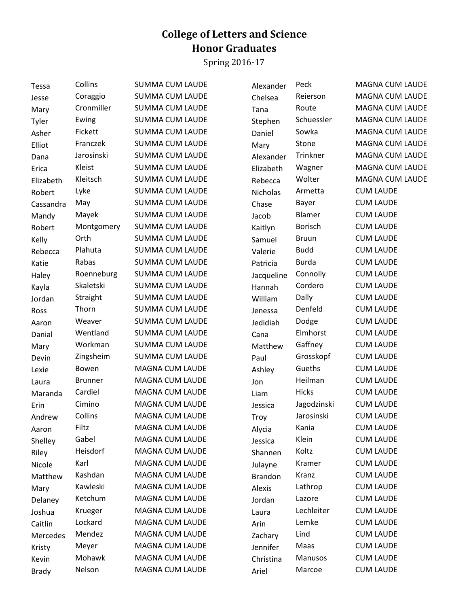## **College of Letters and Science Honor Graduates**

Spring 2016-17

| <b>Tessa</b> | Collins        | <b>SUMMA CUM LAUDE</b> | Alexander      | Peck           | <b>MAGNA CUM LAUDE</b> |
|--------------|----------------|------------------------|----------------|----------------|------------------------|
| Jesse        | Coraggio       | <b>SUMMA CUM LAUDE</b> | Chelsea        | Reierson       | MAGNA CUM LAUDE        |
| Mary         | Cronmiller     | <b>SUMMA CUM LAUDE</b> | Tana           | Route          | <b>MAGNA CUM LAUDE</b> |
| Tyler        | Ewing          | <b>SUMMA CUM LAUDE</b> | Stephen        | Schuessler     | <b>MAGNA CUM LAUDE</b> |
| Asher        | Fickett        | <b>SUMMA CUM LAUDE</b> | Daniel         | Sowka          | MAGNA CUM LAUDE        |
| Elliot       | Franczek       | <b>SUMMA CUM LAUDE</b> | Mary           | Stone          | MAGNA CUM LAUDE        |
| Dana         | Jarosinski     | <b>SUMMA CUM LAUDE</b> | Alexander      | Trinkner       | MAGNA CUM LAUDE        |
| Erica        | Kleist         | <b>SUMMA CUM LAUDE</b> | Elizabeth      | Wagner         | MAGNA CUM LAUDE        |
| Elizabeth    | Kleitsch       | <b>SUMMA CUM LAUDE</b> | Rebecca        | Wolter         | <b>MAGNA CUM LAUDE</b> |
| Robert       | Lyke           | <b>SUMMA CUM LAUDE</b> | Nicholas       | Armetta        | <b>CUM LAUDE</b>       |
| Cassandra    | May            | <b>SUMMA CUM LAUDE</b> | Chase          | Bayer          | <b>CUM LAUDE</b>       |
| Mandy        | Mayek          | <b>SUMMA CUM LAUDE</b> | Jacob          | Blamer         | <b>CUM LAUDE</b>       |
| Robert       | Montgomery     | <b>SUMMA CUM LAUDE</b> | Kaitlyn        | <b>Borisch</b> | <b>CUM LAUDE</b>       |
| Kelly        | Orth           | <b>SUMMA CUM LAUDE</b> | Samuel         | <b>Bruun</b>   | <b>CUM LAUDE</b>       |
| Rebecca      | Plahuta        | <b>SUMMA CUM LAUDE</b> | Valerie        | <b>Budd</b>    | <b>CUM LAUDE</b>       |
| Katie        | Rabas          | <b>SUMMA CUM LAUDE</b> | Patricia       | <b>Burda</b>   | <b>CUM LAUDE</b>       |
| Haley        | Roenneburg     | <b>SUMMA CUM LAUDE</b> | Jacqueline     | Connolly       | <b>CUM LAUDE</b>       |
| Kayla        | Skaletski      | <b>SUMMA CUM LAUDE</b> | Hannah         | Cordero        | <b>CUM LAUDE</b>       |
| Jordan       | Straight       | <b>SUMMA CUM LAUDE</b> | William        | Dally          | <b>CUM LAUDE</b>       |
| Ross         | Thorn          | <b>SUMMA CUM LAUDE</b> | Jenessa        | Denfeld        | <b>CUM LAUDE</b>       |
| Aaron        | Weaver         | <b>SUMMA CUM LAUDE</b> | Jedidiah       | Dodge          | <b>CUM LAUDE</b>       |
| Danial       | Wentland       | <b>SUMMA CUM LAUDE</b> | Cana           | Elmhorst       | <b>CUM LAUDE</b>       |
| Mary         | Workman        | <b>SUMMA CUM LAUDE</b> | Matthew        | Gaffney        | <b>CUM LAUDE</b>       |
| Devin        | Zingsheim      | <b>SUMMA CUM LAUDE</b> | Paul           | Grosskopf      | <b>CUM LAUDE</b>       |
| Lexie        | Bowen          | <b>MAGNA CUM LAUDE</b> | Ashley         | Gueths         | <b>CUM LAUDE</b>       |
| Laura        | <b>Brunner</b> | <b>MAGNA CUM LAUDE</b> | Jon            | Heilman        | <b>CUM LAUDE</b>       |
| Maranda      | Cardiel        | <b>MAGNA CUM LAUDE</b> | Liam           | <b>Hicks</b>   | <b>CUM LAUDE</b>       |
| Erin         | Cimino         | MAGNA CUM LAUDE        | Jessica        | Jagodzinski    | <b>CUM LAUDE</b>       |
| Andrew       | Collins        | <b>MAGNA CUM LAUDE</b> | Troy           | Jarosinski     | <b>CUM LAUDE</b>       |
| Aaron        | Filtz          | <b>MAGNA CUM LAUDE</b> | Alycia         | Kania          | <b>CUM LAUDE</b>       |
| Shelley      | Gabel          | <b>MAGNA CUM LAUDE</b> | Jessica        | Klein          | <b>CUM LAUDE</b>       |
| Riley        | Heisdorf       | MAGNA CUM LAUDE        | Shannen        | Koltz          | <b>CUM LAUDE</b>       |
| Nicole       | Karl           | MAGNA CUM LAUDE        | Julayne        | Kramer         | <b>CUM LAUDE</b>       |
| Matthew      | Kashdan        | <b>MAGNA CUM LAUDE</b> | <b>Brandon</b> | Kranz          | <b>CUM LAUDE</b>       |
| Mary         | Kawleski       | <b>MAGNA CUM LAUDE</b> | Alexis         | Lathrop        | <b>CUM LAUDE</b>       |
| Delaney      | Ketchum        | MAGNA CUM LAUDE        | Jordan         | Lazore         | <b>CUM LAUDE</b>       |
| Joshua       | Krueger        | <b>MAGNA CUM LAUDE</b> | Laura          | Lechleiter     | <b>CUM LAUDE</b>       |
| Caitlin      | Lockard        | <b>MAGNA CUM LAUDE</b> | Arin           | Lemke          | <b>CUM LAUDE</b>       |
| Mercedes     | Mendez         | MAGNA CUM LAUDE        | Zachary        | Lind           | <b>CUM LAUDE</b>       |
| Kristy       | Meyer          | MAGNA CUM LAUDE        | Jennifer       | Maas           | <b>CUM LAUDE</b>       |
| Kevin        | Mohawk         | MAGNA CUM LAUDE        | Christina      | Manusos        | <b>CUM LAUDE</b>       |
| <b>Brady</b> | Nelson         | MAGNA CUM LAUDE        | Ariel          | Marcoe         | <b>CUM LAUDE</b>       |